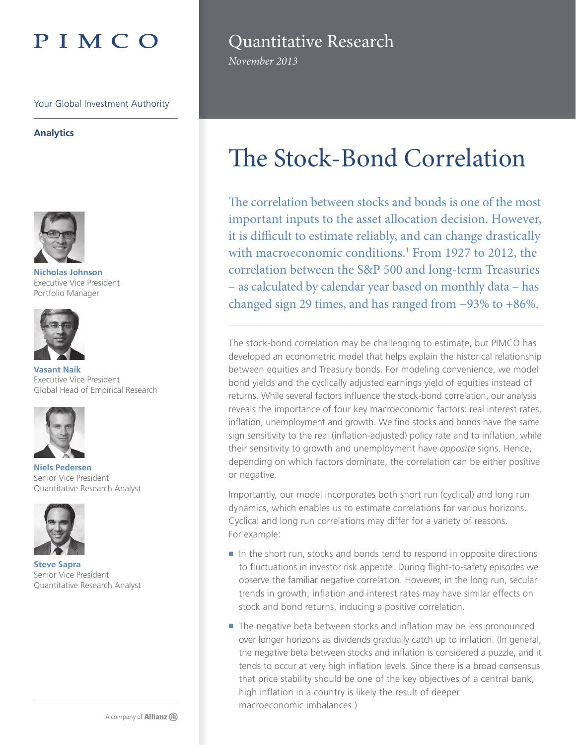# PIMCO

Your Global Investment Authority

## **Analytics**



**Nicholas Johnson** Executive Vice President Portfolio Manager



**Vasant Naik** Executive Vice President Global Head of Empirical Research



**Niels Pedersen** Senior Vice President Quantitative Research Analyst



**Steve Sapra** Senior Vice President Quantitative Research Analyst

# Quantitative Research

*November 2013*

# The Stock-Bond Correlation

The correlation between stocks and bonds is one of the most important inputs to the asset allocation decision. However, it is difficult to estimate reliably, and can change drastically with macroeconomic conditions.<sup>1</sup> From 1927 to 2012, the correlation between the S&P 500 and long-term Treasuries – as calculated by calendar year based on monthly data – has changed sign 29 times, and has ranged from −93% to +86%.

The stock-bond correlation may be challenging to estimate, but PIMCO has developed an econometric model that helps explain the historical relationship between equities and Treasury bonds. For modeling convenience, we model bond yields and the cyclically adjusted earnings yield of equities instead of returns. While several factors influence the stock-bond correlation, our analysis reveals the importance of four key macroeconomic factors: real interest rates, inflation, unemployment and growth. We find stocks and bonds have the same sign sensitivity to the real (inflation-adjusted) policy rate and to inflation, while their sensitivity to growth and unemployment have *opposite* signs. Hence, depending on which factors dominate, the correlation can be either positive or negative.

Importantly, our model incorporates both short run (cyclical) and long run dynamics, which enables us to estimate correlations for various horizons. Cyclical and long run correlations may differ for a variety of reasons. For example:

- In the short run, stocks and bonds tend to respond in opposite directions to fluctuations in investor risk appetite. During flight-to-safety episodes we observe the familiar negative correlation. However, in the long run, secular trends in growth, inflation and interest rates may have similar effects on stock and bond returns, inducing a positive correlation.
- The negative beta between stocks and inflation may be less pronounced over longer horizons as dividends gradually catch up to inflation. (In general, the negative beta between stocks and inflation is considered a puzzle, and it tends to occur at very high inflation levels. Since there is a broad consensus that price stability should be one of the key objectives of a central bank, high inflation in a country is likely the result of deeper macroeconomic imbalances.)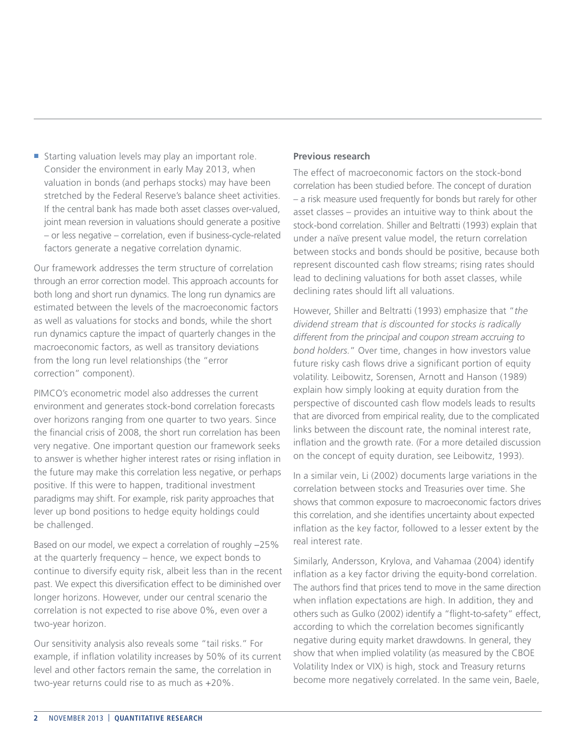$\blacksquare$  Starting valuation levels may play an important role. Consider the environment in early May 2013, when valuation in bonds (and perhaps stocks) may have been stretched by the Federal Reserve's balance sheet activities. If the central bank has made both asset classes over-valued, joint mean reversion in valuations should generate a positive – or less negative – correlation, even if business-cycle-related factors generate a negative correlation dynamic.

Our framework addresses the term structure of correlation through an error correction model. This approach accounts for both long and short run dynamics. The long run dynamics are estimated between the levels of the macroeconomic factors as well as valuations for stocks and bonds, while the short run dynamics capture the impact of quarterly changes in the macroeconomic factors, as well as transitory deviations from the long run level relationships (the "error correction" component).

PIMCO's econometric model also addresses the current environment and generates stock-bond correlation forecasts over horizons ranging from one quarter to two years. Since the financial crisis of 2008, the short run correlation has been very negative. One important question our framework seeks to answer is whether higher interest rates or rising inflation in the future may make this correlation less negative, or perhaps positive. If this were to happen, traditional investment paradigms may shift. For example, risk parity approaches that lever up bond positions to hedge equity holdings could be challenged.

Based on our model, we expect a correlation of roughly −25% at the quarterly frequency – hence, we expect bonds to continue to diversify equity risk, albeit less than in the recent past. We expect this diversification effect to be diminished over longer horizons. However, under our central scenario the correlation is not expected to rise above 0%, even over a two-year horizon.

Our sensitivity analysis also reveals some "tail risks." For example, if inflation volatility increases by 50% of its current level and other factors remain the same, the correlation in two-year returns could rise to as much as +20%.

## **Previous research**

The effect of macroeconomic factors on the stock-bond correlation has been studied before. The concept of duration – a risk measure used frequently for bonds but rarely for other asset classes – provides an intuitive way to think about the stock-bond correlation. Shiller and Beltratti (1993) explain that under a naïve present value model, the return correlation between stocks and bonds should be positive, because both represent discounted cash flow streams; rising rates should lead to declining valuations for both asset classes, while declining rates should lift all valuations.

However, Shiller and Beltratti (1993) emphasize that "*the dividend stream that is discounted for stocks is radically different from the principal and coupon stream accruing to bond holders.*" Over time, changes in how investors value future risky cash flows drive a significant portion of equity volatility. Leibowitz, Sorensen, Arnott and Hanson (1989) explain how simply looking at equity duration from the perspective of discounted cash flow models leads to results that are divorced from empirical reality, due to the complicated links between the discount rate, the nominal interest rate, inflation and the growth rate. (For a more detailed discussion on the concept of equity duration, see Leibowitz, 1993).

In a similar vein, Li (2002) documents large variations in the correlation between stocks and Treasuries over time. She shows that common exposure to macroeconomic factors drives this correlation, and she identifies uncertainty about expected inflation as the key factor, followed to a lesser extent by the real interest rate.

Similarly, Andersson, Krylova, and Vahamaa (2004) identify inflation as a key factor driving the equity-bond correlation. The authors find that prices tend to move in the same direction when inflation expectations are high. In addition, they and others such as Gulko (2002) identify a "flight-to-safety" effect, according to which the correlation becomes significantly negative during equity market drawdowns. In general, they show that when implied volatility (as measured by the CBOE Volatility Index or VIX) is high, stock and Treasury returns become more negatively correlated. In the same vein, Baele,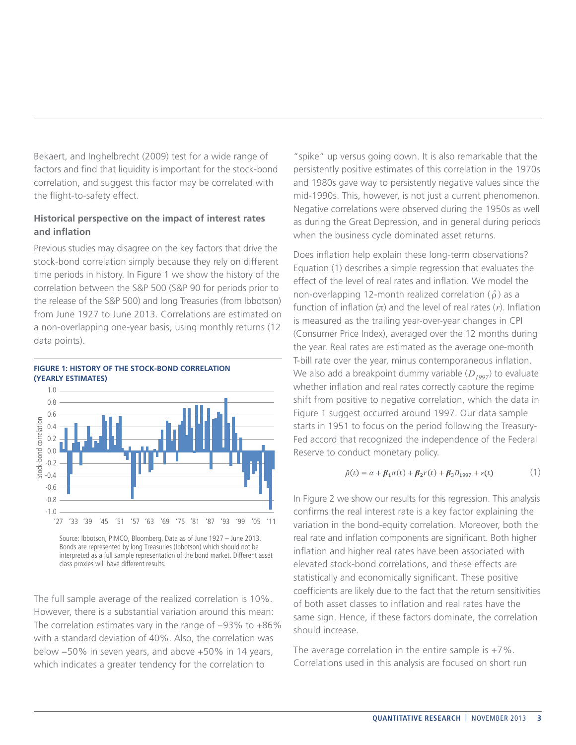Bekaert, and Inghelbrecht (2009) test for a wide range of factors and find that liquidity is important for the stock-bond correlation, and suggest this factor may be correlated with the flight-to-safety effect.

# **Historical perspective on the impact of interest rates and inflation**

Previous studies may disagree on the key factors that drive the stock-bond correlation simply because they rely on different time periods in history. In Figure 1 we show the history of the correlation between the S&P 500 (S&P 90 for periods prior to the release of the S&P 500) and long Treasuries (from Ibbotson) from June 1927 to June 2013. Correlations are estimated on a non-overlapping one-year basis, using monthly returns (12 data points).



**FIGURE 1: HISTORY OF THE STOCK-BOND CORRELATION** 

Source: Ibbotson, PIMCO, Bloomberg. Data as of June 1927 – June 2013. Bonds are represented by long Treasuries (Ibbotson) which should not be interpreted as a full sample representation of the bond market. Different asset class proxies will have different results.

The full sample average of the realized correlation is 10%. However, there is a substantial variation around this mean: The correlation estimates vary in the range of −93% to +86% with a standard deviation of 40%. Also, the correlation was below −50% in seven years, and above +50% in 14 years, which indicates a greater tendency for the correlation to

"spike" up versus going down. It is also remarkable that the persistently positive estimates of this correlation in the 1970s and 1980s gave way to persistently negative values since the mid-1990s. This, however, is not just a current phenomenon. Negative correlations were observed during the 1950s as well as during the Great Depression, and in general during periods when the business cycle dominated asset returns.

Does inflation help explain these long-term observations? Equation (1) describes a simple regression that evaluates the effect of the level of real rates and inflation. We model the non-overlapping 12-month realized correlation ( $\hat{\rho}$ ) as a function of inflation (*π*) and the level of real rates (*r*). Inflation is measured as the trailing year-over-year changes in CPI (Consumer Price Index), averaged over the 12 months during the year. Real rates are estimated as the average one-month T-bill rate over the year, minus contemporaneous inflation. We also add a breakpoint dummy variable ( $D_{1997}$ ) to evaluate whether inflation and real rates correctly capture the regime shift from positive to negative correlation, which the data in Figure 1 suggest occurred around 1997. Our data sample starts in 1951 to focus on the period following the Treasury-Fed accord that recognized the independence of the Federal Reserve to conduct monetary policy.

$$
\hat{\rho}(t) = \alpha + \beta_1 \pi(t) + \beta_2 r(t) + \beta_3 D_{1997} + \varepsilon(t)
$$
\n(1)

In Figure 2 we show our results for this regression. This analysis confirms the real interest rate is a key factor explaining the variation in the bond-equity correlation. Moreover, both the real rate and inflation components are significant. Both higher inflation and higher real rates have been associated with elevated stock-bond correlations, and these effects are statistically and economically significant. These positive coefficients are likely due to the fact that the return sensitivities of both asset classes to inflation and real rates have the same sign. Hence, if these factors dominate, the correlation should increase.

The average correlation in the entire sample is  $+7\%$ . Correlations used in this analysis are focused on short run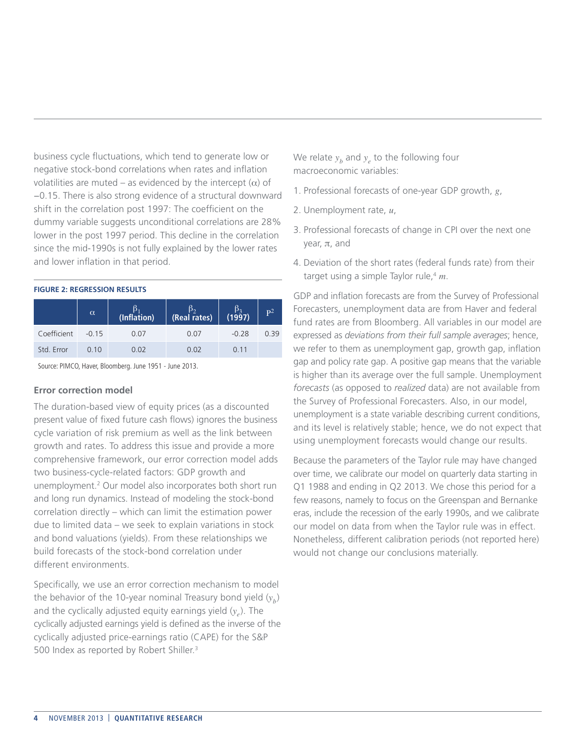business cycle fluctuations, which tend to generate low or negative stock-bond correlations when rates and inflation volatilities are muted – as evidenced by the intercept  $(\alpha)$  of −0.15. There is also strong evidence of a structural downward shift in the correlation post 1997: The coefficient on the dummy variable suggests unconditional correlations are 28% lower in the post 1997 period. This decline in the correlation since the mid-1990s is not fully explained by the lower rates and lower inflation in that period.

#### **FIGURE 2: REGRESSION RESULTS**

|             | $\alpha$ | (Inflation) | ß,<br>(Real rates) | $\frac{\beta_3}{(1997)}$ | $\mathbf{P}^2$ |
|-------------|----------|-------------|--------------------|--------------------------|----------------|
| Coefficient | $-0.15$  | 0.07        | 0.07               | $-0.28$                  | 0.39           |
| Std. Error  | 0.10     | 0.02        | 0.02               | 0.11                     |                |

Source: PIMCO, Haver, Bloomberg. June 1951 - June 2013.

## **Error correction model**

The duration-based view of equity prices (as a discounted present value of fixed future cash flows) ignores the business cycle variation of risk premium as well as the link between growth and rates. To address this issue and provide a more comprehensive framework, our error correction model adds two business-cycle-related factors: GDP growth and unemployment.2 Our model also incorporates both short run and long run dynamics. Instead of modeling the stock-bond correlation directly – which can limit the estimation power due to limited data – we seek to explain variations in stock and bond valuations (yields). From these relationships we build forecasts of the stock-bond correlation under different environments.

Specifically, we use an error correction mechanism to model the behavior of the 10-year nominal Treasury bond yield  $(y<sub>b</sub>)$ and the cyclically adjusted equity earnings yield (*y<sub>e</sub>*). The cyclically adjusted earnings yield is defined as the inverse of the cyclically adjusted price-earnings ratio (CAPE) for the S&P 500 Index as reported by Robert Shiller.<sup>3</sup>

We relate  $y_h$  and  $y_e$  to the following four macroeconomic variables:

- 1. Professional forecasts of one-year GDP growth, *g*,
- 2. Unemployment rate, *u*,
- 3. Professional forecasts of change in CPI over the next one year, *π*, and
- 4. Deviation of the short rates (federal funds rate) from their target using a simple Taylor rule,4 *m*.

GDP and inflation forecasts are from the Survey of Professional Forecasters, unemployment data are from Haver and federal fund rates are from Bloomberg. All variables in our model are expressed as *deviations from their full sample averages*; hence, we refer to them as unemployment gap, growth gap, inflation gap and policy rate gap. A positive gap means that the variable is higher than its average over the full sample. Unemployment *forecasts* (as opposed to *realized* data) are not available from the Survey of Professional Forecasters. Also, in our model, unemployment is a state variable describing current conditions, and its level is relatively stable; hence, we do not expect that using unemployment forecasts would change our results.

Because the parameters of the Taylor rule may have changed over time, we calibrate our model on quarterly data starting in Q1 1988 and ending in Q2 2013. We chose this period for a few reasons, namely to focus on the Greenspan and Bernanke eras, include the recession of the early 1990s, and we calibrate our model on data from when the Taylor rule was in effect. Nonetheless, different calibration periods (not reported here) would not change our conclusions materially.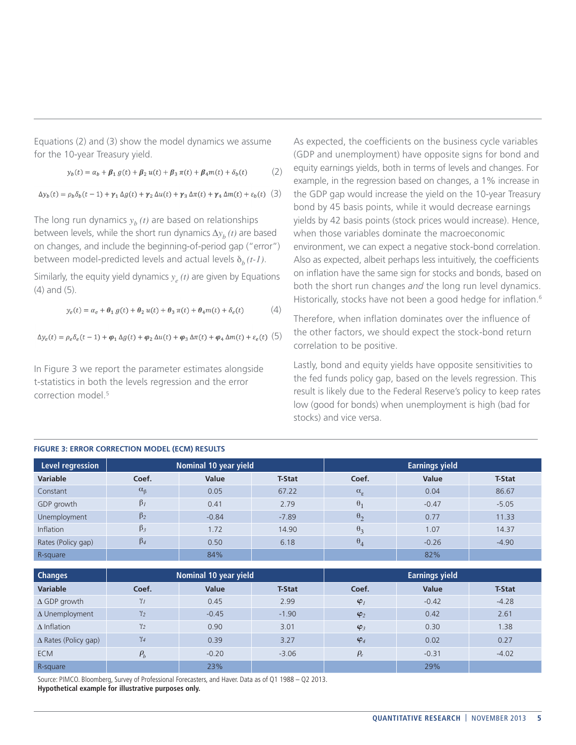Equations (2) and (3) show the model dynamics we assume for the 10-year Treasury yield.

$$
y_b(t) = \alpha_b + \beta_1 g(t) + \beta_2 u(t) + \beta_3 \pi(t) + \beta_4 m(t) + \delta_b(t)
$$
 (2)

 $\Delta y_b(t) = \rho_b \delta_b(t-1) + \gamma_1 \Delta g(t) + \gamma_2 \Delta u(t) + \gamma_3 \Delta \pi(t) + \gamma_4 \Delta m(t) + \varepsilon_b(t)$  (3)

The long run dynamics  $y_h(t)$  are based on relationships between levels, while the short run dynamics *∆yb (t)* are based on changes, and include the beginning-of-period gap ("error") between model-predicted levels and actual levels  $\delta_h(t-1)$ .

Similarly, the equity yield dynamics  $y_e(t)$  are given by Equations (4) and (5).

$$
y_e(t) = \alpha_e + \theta_1 g(t) + \theta_2 u(t) + \theta_3 \pi(t) + \theta_4 m(t) + \delta_e(t)
$$
 (4)

$$
\Delta y_e(t) = \rho_e \delta_e(t-1) + \varphi_1 \Delta g(t) + \varphi_2 \Delta u(t) + \varphi_3 \Delta \pi(t) + \varphi_4 \Delta m(t) + \varepsilon_e(t) \quad (5)
$$

In Figure 3 we report the parameter estimates alongside t-statistics in both the levels regression and the error correction model.<sup>5</sup>

As expected, the coefficients on the business cycle variables (GDP and unemployment) have opposite signs for bond and equity earnings yields, both in terms of levels and changes. For example, in the regression based on changes, a 1% increase in the GDP gap would increase the yield on the 10-year Treasury bond by 45 basis points, while it would decrease earnings yields by 42 basis points (stock prices would increase). Hence, when those variables dominate the macroeconomic environment, we can expect a negative stock-bond correlation. Also as expected, albeit perhaps less intuitively, the coefficients on inflation have the same sign for stocks and bonds, based on both the short run changes *and* the long run level dynamics. Historically, stocks have not been a good hedge for inflation.<sup>6</sup>

Therefore, when inflation dominates over the influence of the other factors, we should expect the stock-bond return correlation to be positive.

Lastly, bond and equity yields have opposite sensitivities to the fed funds policy gap, based on the levels regression. This result is likely due to the Federal Reserve's policy to keep rates low (good for bonds) when unemployment is high (bad for stocks) and vice versa.

| <b>INDIAN SEARCH COMMECTION INODEE (ECINI) RESOLIS</b> |                       |         |               |                       |         |               |  |
|--------------------------------------------------------|-----------------------|---------|---------------|-----------------------|---------|---------------|--|
| Level regression                                       | Nominal 10 year yield |         |               | <b>Earnings yield</b> |         |               |  |
| <b>Variable</b>                                        | Coef.                 | Value   | <b>T-Stat</b> | Coef.                 | Value   | <b>T-Stat</b> |  |
| Constant                                               | $\alpha_{\beta}$      | 0.05    | 67.22         | $\alpha_{\rm g}$      | 0.04    | 86.67         |  |
| GDP growth                                             | $\beta_I$             | 0.41    | 2.79          | $\theta_1$            | $-0.47$ | $-5.05$       |  |
| Unemployment                                           | $\beta_2$             | $-0.84$ | $-7.89$       | $\theta_2$            | 0.77    | 11.33         |  |
| <b>Inflation</b>                                       | $\beta_3$             | 1.72    | 14.90         | $\theta_3$            | 1.07    | 14.37         |  |
| Rates (Policy gap)                                     | $\beta_4$             | 0.50    | 6.18          | $\theta_4$            | $-0.26$ | $-4.90$       |  |
| R-square                                               |                       | 84%     |               |                       | 82%     |               |  |

#### **FIGURE 3: ERROR CORRECTION MODEL (ECM) RESULTS**

| <b>Changes</b>              | Nominal 10 year yield |         |               | <b>Earnings yield</b> |         |               |  |
|-----------------------------|-----------------------|---------|---------------|-----------------------|---------|---------------|--|
| <b>Variable</b>             | Coef.                 | Value   | <b>T-Stat</b> | Coef.                 | Value   | <b>T-Stat</b> |  |
| $\Delta$ GDP growth         | $\gamma_I$            | 0.45    | 2.99          | $\varphi$             | $-0.42$ | $-4.28$       |  |
| $\Delta$ Unemployment       | $\gamma_2$            | $-0.45$ | $-1.90$       | $\varphi_2$           | 0.42    | 2.61          |  |
| $\Delta$ Inflation          | $\gamma_2$            | 0.90    | 3.01          | $\varphi_3$           | 0.30    | 1.38          |  |
| $\Delta$ Rates (Policy gap) | $\gamma_4$            | 0.39    | 3.27          | $\varphi_4$           | 0.02    | 0.27          |  |
| <b>ECM</b>                  | $\rho_{b}$            | $-0.20$ | $-3.06$       | $\rho_e$              | $-0.31$ | $-4.02$       |  |
| R-square                    |                       | 23%     |               |                       | 29%     |               |  |

Source: PIMCO. Bloomberg, Survey of Professional Forecasters, and Haver. Data as of Q1 1988 – Q2 2013. **Hypothetical example for illustrative purposes only.**

**QUANTITATIVE RESEARCH** | NOVEMBER 2013 **5**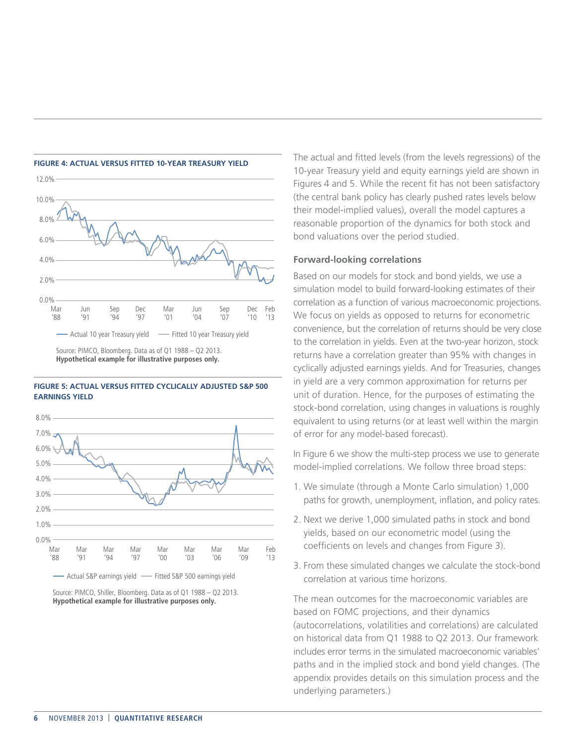

#### **FIGURE 5: ACTUAL VERSUS FITTED CYCLICALLY ADJUSTED S&P 500 EARNINGS YIELD**



Source: PIMCO, Shiller, Bloomberg. Data as of Q1 1988 – Q2 2013. **Hypothetical example for illustrative purposes only.**

The actual and fitted levels (from the levels regressions) of the 10-year Treasury yield and equity earnings yield are shown in Figures 4 and 5. While the recent fit has not been satisfactory (the central bank policy has clearly pushed rates levels below their model-implied values), overall the model captures a reasonable proportion of the dynamics for both stock and bond valuations over the period studied.

# **Forward-looking correlations**

Based on our models for stock and bond yields, we use a simulation model to build forward-looking estimates of their correlation as a function of various macroeconomic projections. We focus on yields as opposed to returns for econometric convenience, but the correlation of returns should be very close to the correlation in yields. Even at the two-year horizon, stock returns have a correlation greater than 95% with changes in cyclically adjusted earnings yields. And for Treasuries, changes in yield are a very common approximation for returns per unit of duration. Hence, for the purposes of estimating the stock-bond correlation, using changes in valuations is roughly equivalent to using returns (or at least well within the margin of error for any model-based forecast).

In Figure 6 we show the multi-step process we use to generate model-implied correlations. We follow three broad steps:

- 1. We simulate (through a Monte Carlo simulation) 1,000 paths for growth, unemployment, inflation, and policy rates.
- 2. Next we derive 1,000 simulated paths in stock and bond yields, based on our econometric model (using the coefficients on levels and changes from Figure 3).
- 3. From these simulated changes we calculate the stock-bond correlation at various time horizons.

The mean outcomes for the macroeconomic variables are based on FOMC projections, and their dynamics (autocorrelations, volatilities and correlations) are calculated on historical data from Q1 1988 to Q2 2013. Our framework includes error terms in the simulated macroeconomic variables' paths and in the implied stock and bond yield changes. (The appendix provides details on this simulation process and the underlying parameters.)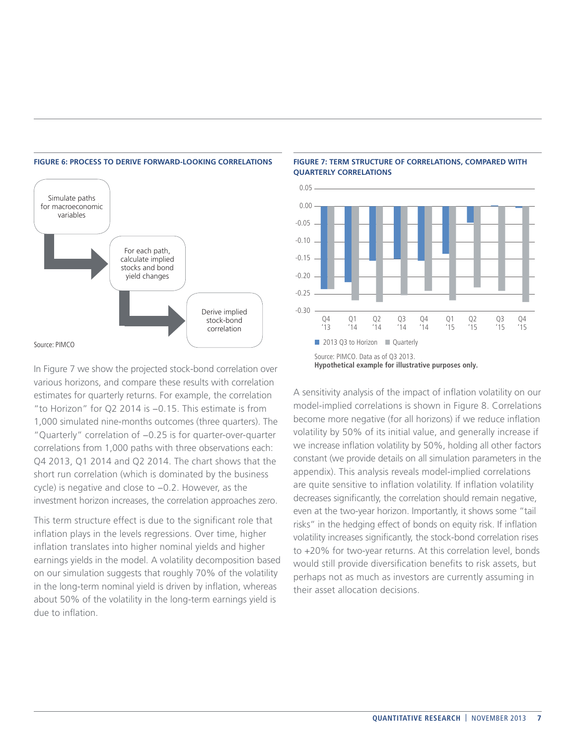

#### **FIGURE 6: PROCESS TO DERIVE FORWARD-LOOKING CORRELATIONS**

**FIGURE 7: TERM STRUCTURE OF CORRELATIONS, COMPARED WITH QUARTERLY CORRELATIONS**



A sensitivity analysis of the impact of inflation volatility on our model-implied correlations is shown in Figure 8. Correlations become more negative (for all horizons) if we reduce inflation volatility by 50% of its initial value, and generally increase if we increase inflation volatility by 50%, holding all other factors constant (we provide details on all simulation parameters in the appendix). This analysis reveals model-implied correlations are quite sensitive to inflation volatility. If inflation volatility decreases significantly, the correlation should remain negative, even at the two-year horizon. Importantly, it shows some "tail risks" in the hedging effect of bonds on equity risk. If inflation volatility increases significantly, the stock-bond correlation rises to +20% for two-year returns. At this correlation level, bonds would still provide diversification benefits to risk assets, but perhaps not as much as investors are currently assuming in their asset allocation decisions.

In Figure 7 we show the projected stock-bond correlation over various horizons, and compare these results with correlation estimates for quarterly returns. For example, the correlation "to Horizon" for Q2 2014 is −0.15. This estimate is from 1,000 simulated nine-months outcomes (three quarters). The "Quarterly" correlation of −0.25 is for quarter-over-quarter correlations from 1,000 paths with three observations each: Q4 2013, Q1 2014 and Q2 2014. The chart shows that the short run correlation (which is dominated by the business cycle) is negative and close to −0.2. However, as the investment horizon increases, the correlation approaches zero.

This term structure effect is due to the significant role that inflation plays in the levels regressions. Over time, higher inflation translates into higher nominal yields and higher earnings yields in the model. A volatility decomposition based on our simulation suggests that roughly 70% of the volatility in the long-term nominal yield is driven by inflation, whereas about 50% of the volatility in the long-term earnings yield is due to inflation.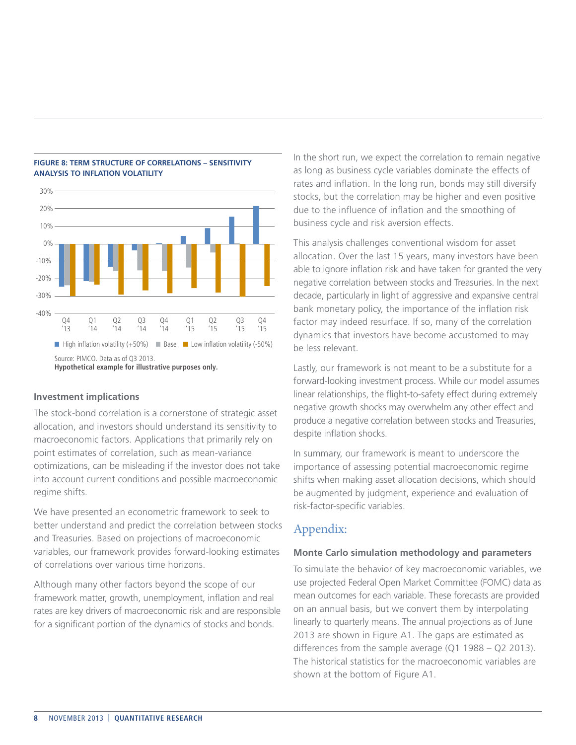

## **FIGURE 8: TERM STRUCTURE OF CORRELATIONS – SENSITIVITY ANALYSIS TO INFLATION VOLATILITY**

#### **Investment implications**

The stock-bond correlation is a cornerstone of strategic asset allocation, and investors should understand its sensitivity to macroeconomic factors. Applications that primarily rely on point estimates of correlation, such as mean-variance optimizations, can be misleading if the investor does not take into account current conditions and possible macroeconomic regime shifts.

We have presented an econometric framework to seek to better understand and predict the correlation between stocks and Treasuries. Based on projections of macroeconomic variables, our framework provides forward-looking estimates of correlations over various time horizons.

Although many other factors beyond the scope of our framework matter, growth, unemployment, inflation and real rates are key drivers of macroeconomic risk and are responsible for a significant portion of the dynamics of stocks and bonds.

In the short run, we expect the correlation to remain negative as long as business cycle variables dominate the effects of rates and inflation. In the long run, bonds may still diversify stocks, but the correlation may be higher and even positive due to the influence of inflation and the smoothing of business cycle and risk aversion effects.

This analysis challenges conventional wisdom for asset allocation. Over the last 15 years, many investors have been able to ignore inflation risk and have taken for granted the very negative correlation between stocks and Treasuries. In the next decade, particularly in light of aggressive and expansive central bank monetary policy, the importance of the inflation risk factor may indeed resurface. If so, many of the correlation dynamics that investors have become accustomed to may be less relevant.

Lastly, our framework is not meant to be a substitute for a forward-looking investment process. While our model assumes linear relationships, the flight-to-safety effect during extremely negative growth shocks may overwhelm any other effect and produce a negative correlation between stocks and Treasuries, despite inflation shocks.

In summary, our framework is meant to underscore the importance of assessing potential macroeconomic regime shifts when making asset allocation decisions, which should be augmented by judgment, experience and evaluation of risk-factor-specific variables.

# Appendix:

## **Monte Carlo simulation methodology and parameters**

To simulate the behavior of key macroeconomic variables, we use projected Federal Open Market Committee (FOMC) data as mean outcomes for each variable. These forecasts are provided on an annual basis, but we convert them by interpolating linearly to quarterly means. The annual projections as of June 2013 are shown in Figure A1. The gaps are estimated as differences from the sample average (Q1 1988 – Q2 2013). The historical statistics for the macroeconomic variables are shown at the bottom of Figure A1.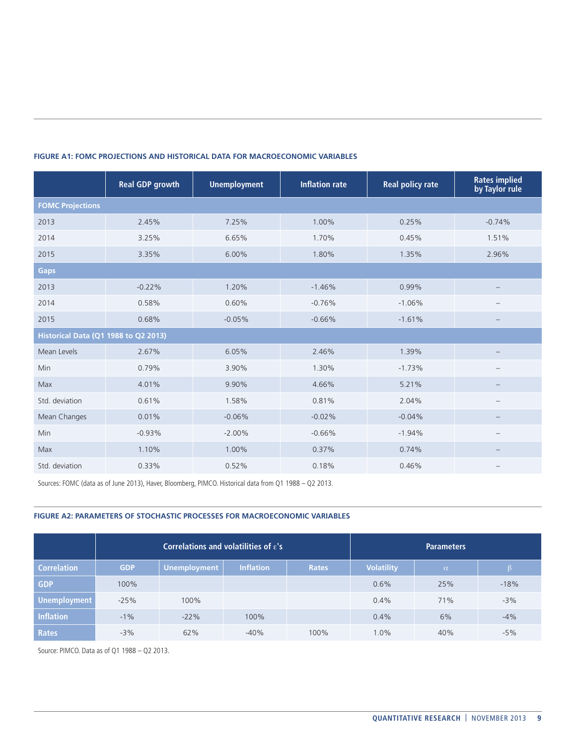|                                      | <b>Real GDP growth</b> | <b>Unemployment</b> | <b>Inflation rate</b> | <b>Real policy rate</b> | <b>Rates implied</b><br>by Taylor rule |  |  |
|--------------------------------------|------------------------|---------------------|-----------------------|-------------------------|----------------------------------------|--|--|
| <b>FOMC Projections</b>              |                        |                     |                       |                         |                                        |  |  |
| 2013                                 | 2.45%                  | 7.25%               | 1.00%                 | 0.25%                   | $-0.74%$                               |  |  |
| 2014                                 | 3.25%                  | 6.65%               | 1.70%                 | 0.45%                   | 1.51%                                  |  |  |
| 2015                                 | 3.35%                  | 6.00%               | 1.80%                 | 1.35%                   | 2.96%                                  |  |  |
| <b>Gaps</b>                          |                        |                     |                       |                         |                                        |  |  |
| 2013                                 | $-0.22%$               | 1.20%               | $-1.46%$              | 0.99%                   |                                        |  |  |
| 2014                                 | 0.58%                  | 0.60%               | $-0.76%$              | $-1.06%$                |                                        |  |  |
| 2015                                 | 0.68%                  | $-0.05%$            | $-0.66%$              | $-1.61%$                |                                        |  |  |
| Historical Data (Q1 1988 to Q2 2013) |                        |                     |                       |                         |                                        |  |  |
| Mean Levels                          | 2.67%                  | 6.05%               | 2.46%                 | 1.39%                   |                                        |  |  |
| Min                                  | 0.79%                  | 3.90%               | 1.30%                 | $-1.73%$                |                                        |  |  |
| Max                                  | 4.01%                  | 9.90%               | 4.66%                 | 5.21%                   |                                        |  |  |
| Std. deviation                       | 0.61%                  | 1.58%               | 0.81%                 | 2.04%                   |                                        |  |  |
| Mean Changes                         | 0.01%                  | $-0.06%$            | $-0.02%$              | $-0.04%$                |                                        |  |  |
| <b>Min</b>                           | $-0.93%$               | $-2.00%$            | $-0.66%$              | $-1.94%$                |                                        |  |  |
| Max                                  | 1.10%                  | 1.00%               | 0.37%                 | 0.74%                   |                                        |  |  |
| Std. deviation                       | 0.33%                  | 0.52%               | 0.18%                 | 0.46%                   |                                        |  |  |

#### **FIGURE A1: FOMC PROJECTIONS AND HISTORICAL DATA FOR MACROECONOMIC VARIABLES**

Sources: FOMC (data as of June 2013), Haver, Bloomberg, PIMCO. Historical data from Q1 1988 – Q2 2013.

#### **FIGURE A2: PARAMETERS OF STOCHASTIC PROCESSES FOR MACROECONOMIC VARIABLES**

|                     | Correlations and volatilities of $\varepsilon$ 's |                     |                  |              | <b>Parameters</b> |          |        |
|---------------------|---------------------------------------------------|---------------------|------------------|--------------|-------------------|----------|--------|
| <b>Correlation</b>  | <b>GDP</b>                                        | <b>Unemployment</b> | <b>Inflation</b> | <b>Rates</b> | <b>Volatility</b> | $\alpha$ |        |
| <b>GDP</b>          | 100%                                              |                     |                  |              | 0.6%              | 25%      | $-18%$ |
| <b>Unemployment</b> | $-25%$                                            | 100%                |                  |              | 0.4%              | 71%      | $-3%$  |
| <b>Inflation</b>    | $-1\%$                                            | $-22%$              | 100%             |              | 0.4%              | 6%       | $-4%$  |
| <b>Rates</b>        | $-3%$                                             | 62%                 | $-40%$           | 100%         | 1.0%              | 40%      | $-5%$  |

Source: PIMCO. Data as of Q1 1988 – Q2 2013.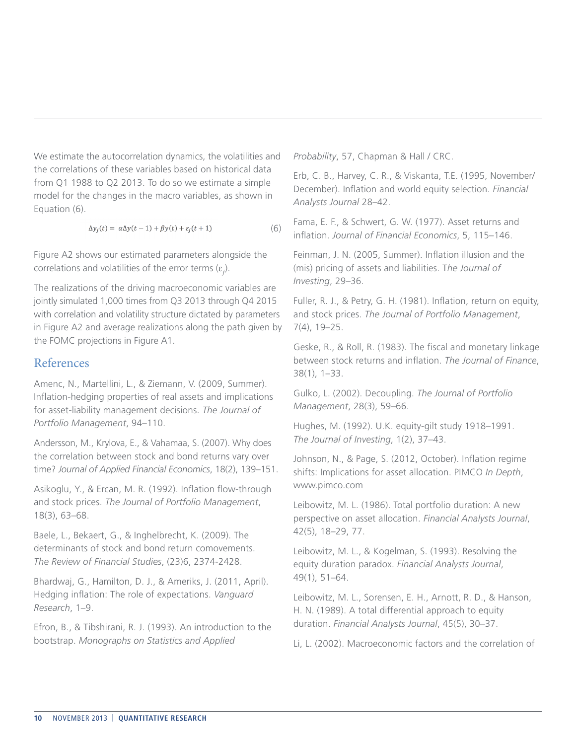We estimate the autocorrelation dynamics, the volatilities and the correlations of these variables based on historical data from Q1 1988 to Q2 2013. To do so we estimate a simple model for the changes in the macro variables, as shown in Equation (6).

$$
\Delta y_j(t) = \alpha \Delta y(t-1) + \beta y(t) + \varepsilon_j(t+1) \tag{6}
$$

Figure A2 shows our estimated parameters alongside the correlations and volatilities of the error terms (ε*<sup>j</sup>* ).

The realizations of the driving macroeconomic variables are jointly simulated 1,000 times from Q3 2013 through Q4 2015 with correlation and volatility structure dictated by parameters in Figure A2 and average realizations along the path given by the FOMC projections in Figure A1.

# References

Amenc, N., Martellini, L., & Ziemann, V. (2009, Summer). Inflation-hedging properties of real assets and implications for asset-liability management decisions. *The Journal of Portfolio Management*, 94–110.

Andersson, M., Krylova, E., & Vahamaa, S. (2007). Why does the correlation between stock and bond returns vary over time? *Journal of Applied Financial Economics*, 18(2), 139–151.

Asikoglu, Y., & Ercan, M. R. (1992). Inflation flow-through and stock prices. *The Journal of Portfolio Management*, 18(3), 63–68.

Baele, L., Bekaert, G., & Inghelbrecht, K. (2009). The determinants of stock and bond return comovements. *The Review of Financial Studies*, (23)6, 2374-2428.

Bhardwaj, G., Hamilton, D. J., & Ameriks, J. (2011, April). Hedging inflation: The role of expectations. *Vanguard Research*, 1–9.

Efron, B., & Tibshirani, R. J. (1993). An introduction to the bootstrap. *Monographs on Statistics and Applied* 

*Probability*, 57, Chapman & Hall / CRC.

Erb, C. B., Harvey, C. R., & Viskanta, T.E. (1995, November/ December). Inflation and world equity selection. *Financial Analysts Journal* 28–42.

Fama, E. F., & Schwert, G. W. (1977). Asset returns and inflation. *Journal of Financial Economics*, 5, 115–146.

Feinman, J. N. (2005, Summer). Inflation illusion and the (mis) pricing of assets and liabilities. T*he Journal of Investing*, 29–36.

Fuller, R. J., & Petry, G. H. (1981). Inflation, return on equity, and stock prices. *The Journal of Portfolio Management*, 7(4), 19–25.

Geske, R., & Roll, R. (1983). The fiscal and monetary linkage between stock returns and inflation. *The Journal of Finance*, 38(1), 1–33.

Gulko, L. (2002). Decoupling. *The Journal of Portfolio Management*, 28(3), 59–66.

Hughes, M. (1992). U.K. equity-gilt study 1918–1991. *The Journal of Investing*, 1(2), 37–43.

Johnson, N., & Page, S. (2012, October). Inflation regime shifts: Implications for asset allocation. PIMCO *In Depth*, www.pimco.com

Leibowitz, M. L. (1986). Total portfolio duration: A new perspective on asset allocation. *Financial Analysts Journal*, 42(5), 18–29, 77.

Leibowitz, M. L., & Kogelman, S. (1993). Resolving the equity duration paradox. *Financial Analysts Journal*, 49(1), 51–64.

Leibowitz, M. L., Sorensen, E. H., Arnott, R. D., & Hanson, H. N. (1989). A total differential approach to equity duration. *Financial Analysts Journal*, 45(5), 30–37.

Li, L. (2002). Macroeconomic factors and the correlation of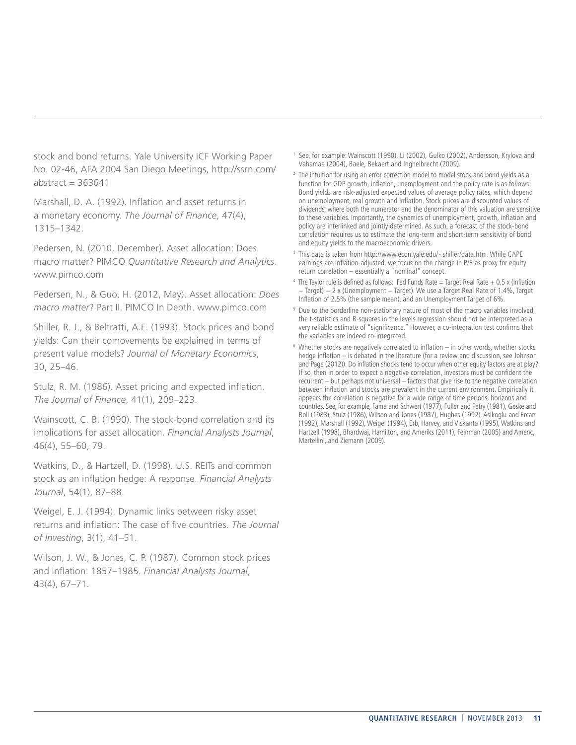stock and bond returns. Yale University ICF Working Paper No. 02-46, AFA 2004 San Diego Meetings, http://ssrn.com/ abstract  $= 363641$ 

Marshall, D. A. (1992). Inflation and asset returns in a monetary economy. *The Journal of Finance*, 47(4), 1315–1342.

Pedersen, N. (2010, December). Asset allocation: Does macro matter? PIMCO *Quantitative Research and Analytics*. www.pimco.com

Pedersen, N., & Guo, H. (2012, May). Asset allocation: *Does macro matter*? Part II. PIMCO In Depth. www.pimco.com

Shiller, R. J., & Beltratti, A.E. (1993). Stock prices and bond yields: Can their comovements be explained in terms of present value models? *Journal of Monetary Economics*, 30, 25–46.

Stulz, R. M. (1986). Asset pricing and expected inflation. *The Journal of Finance*, 41(1), 209–223.

Wainscott, C. B. (1990). The stock-bond correlation and its implications for asset allocation. *Financial Analysts Journal*, 46(4), 55–60, 79.

Watkins, D., & Hartzell, D. (1998). U.S. REITs and common stock as an inflation hedge: A response. *Financial Analysts Journal*, 54(1), 87–88.

Weigel, E. J. (1994). Dynamic links between risky asset returns and inflation: The case of five countries. *The Journal of Investing*, 3(1), 41–51.

Wilson, J. W., & Jones, C. P. (1987). Common stock prices and inflation: 1857–1985. *Financial Analysts Journal*, 43(4), 67–71.

- <sup>1</sup> See, for example: Wainscott (1990), Li (2002), Gulko (2002), Andersson, Krylova and Vahamaa (2004), Baele, Bekaert and Inghelbrecht (2009).
- <sup>2</sup> The intuition for using an error correction model to model stock and bond yields as a function for GDP growth, inflation, unemployment and the policy rate is as follows: Bond yields are risk-adjusted expected values of average policy rates, which depend on unemployment, real growth and inflation. Stock prices are discounted values of dividends, where both the numerator and the denominator of this valuation are sensitive to these variables. Importantly, the dynamics of unemployment, growth, inflation and policy are interlinked and jointly determined. As such, a forecast of the stock-bond correlation requires us to estimate the long-term and short-term sensitivity of bond and equity yields to the macroeconomic drivers.
- 3 This data is taken from http://www.econ.yale.edu/~shiller/data.htm. While CAPE earnings are inflation-adjusted, we focus on the change in P/E as proxy for equity return correlation – essentially a "nominal" concept.
- $4$  The Taylor rule is defined as follows: Fed Funds Rate = Target Real Rate  $+$  0.5 x (Inflation − Target) − 2 x (Unemployment − Target). We use a Target Real Rate of 1.4%, Target Inflation of 2.5% (the sample mean), and an Unemployment Target of 6%.
- <sup>5</sup> Due to the borderline non-stationary nature of most of the macro variables involved, the t-statistics and R-squares in the levels regression should not be interpreted as a very reliable estimate of "significance." However, a co-integration test confirms that the variables are indeed co-integrated.
- <sup>6</sup> Whether stocks are negatively correlated to inflation in other words, whether stocks hedge inflation – is debated in the literature (for a review and discussion, see Johnson and Page (2012)). Do inflation shocks tend to occur when other equity factors are at play? If so, then in order to expect a negative correlation, investors must be confident the recurrent – but perhaps not universal – factors that give rise to the negative correlation between inflation and stocks are prevalent in the current environment. Empirically it appears the correlation is negative for a wide range of time periods, horizons and countries. See, for example, Fama and Schwert (1977), Fuller and Petry (1981), Geske and Roll (1983), Stulz (1986), Wilson and Jones (1987), Hughes (1992), Asikoglu and Ercan (1992), Marshall (1992), Weigel (1994), Erb, Harvey, and Viskanta (1995), Watkins and Hartzell (1998), Bhardwaj, Hamilton, and Ameriks (2011), Feinman (2005) and Amenc, Martellini, and Ziemann (2009).